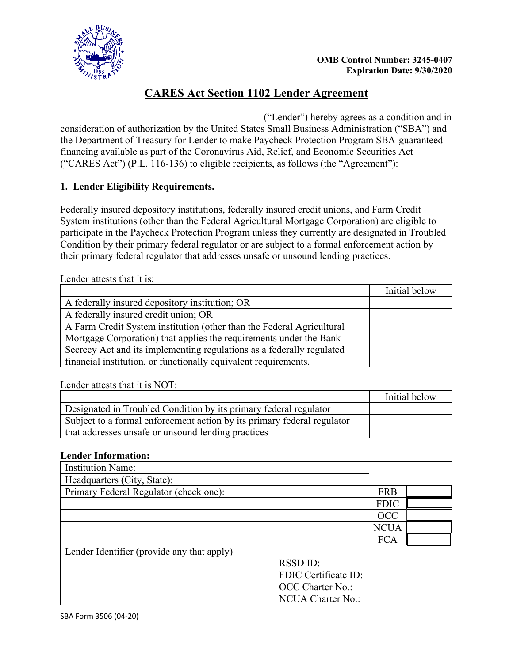



# **CARES Act Section 1102 Lender Agreement**

\_\_\_\_\_\_\_\_\_\_\_\_\_\_\_\_\_\_\_\_\_\_\_\_\_\_\_\_\_\_\_\_\_\_\_\_\_\_\_\_ ("Lender") hereby agrees as a condition and in consideration of authorization by the United States Small Business Administration ("SBA") and the Department of Treasury for Lender to make Paycheck Protection Program SBA-guaranteed financing available as part of the Coronavirus Aid, Relief, and Economic Securities Act ("CARES Act") (P.L. 116-136) to eligible recipients, as follows (the "Agreement"):

## **1. Lender Eligibility Requirements.**

Federally insured depository institutions, federally insured credit unions, and Farm Credit System institutions (other than the Federal Agricultural Mortgage Corporation) are eligible to participate in the Paycheck Protection Program unless they currently are designated in Troubled Condition by their primary federal regulator or are subject to a formal enforcement action by their primary federal regulator that addresses unsafe or unsound lending practices.

Lender attests that it is:

|                                                                       | Initial below |
|-----------------------------------------------------------------------|---------------|
| A federally insured depository institution; OR                        |               |
| A federally insured credit union; OR                                  |               |
| A Farm Credit System institution (other than the Federal Agricultural |               |
| Mortgage Corporation) that applies the requirements under the Bank    |               |
| Secrecy Act and its implementing regulations as a federally regulated |               |
| financial institution, or functionally equivalent requirements.       |               |

Lender attests that it is NOT:

|                                                                                                                               | Initial below |
|-------------------------------------------------------------------------------------------------------------------------------|---------------|
| Designated in Troubled Condition by its primary federal regulator                                                             |               |
| Subject to a formal enforcement action by its primary federal regulator<br>that addresses unsafe or unsound lending practices |               |
|                                                                                                                               |               |

### **Lender Information:**

| <b>Institution Name:</b>                   |                      |             |  |
|--------------------------------------------|----------------------|-------------|--|
| Headquarters (City, State):                |                      |             |  |
| Primary Federal Regulator (check one):     |                      | <b>FRB</b>  |  |
|                                            |                      | <b>FDIC</b> |  |
|                                            |                      | <b>OCC</b>  |  |
|                                            |                      | <b>NCUA</b> |  |
|                                            |                      | <b>FCA</b>  |  |
| Lender Identifier (provide any that apply) |                      |             |  |
|                                            | RSSD ID:             |             |  |
|                                            | FDIC Certificate ID: |             |  |
|                                            | OCC Charter No.:     |             |  |
|                                            | NCUA Charter No.:    |             |  |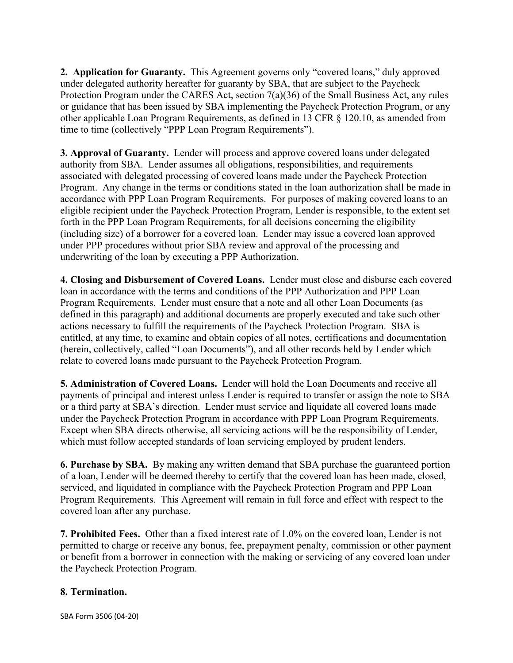**2. Application for Guaranty.** This Agreement governs only "covered loans," duly approved under delegated authority hereafter for guaranty by SBA, that are subject to the Paycheck Protection Program under the CARES Act, section 7(a)(36) of the Small Business Act, any rules or guidance that has been issued by SBA implementing the Paycheck Protection Program, or any other applicable Loan Program Requirements, as defined in 13 CFR § 120.10, as amended from time to time (collectively "PPP Loan Program Requirements").

**3. Approval of Guaranty.** Lender will process and approve covered loans under delegated authority from SBA. Lender assumes all obligations, responsibilities, and requirements associated with delegated processing of covered loans made under the Paycheck Protection Program. Any change in the terms or conditions stated in the loan authorization shall be made in accordance with PPP Loan Program Requirements. For purposes of making covered loans to an eligible recipient under the Paycheck Protection Program, Lender is responsible, to the extent set forth in the PPP Loan Program Requirements, for all decisions concerning the eligibility (including size) of a borrower for a covered loan. Lender may issue a covered loan approved under PPP procedures without prior SBA review and approval of the processing and underwriting of the loan by executing a PPP Authorization.

**4. Closing and Disbursement of Covered Loans.** Lender must close and disburse each covered loan in accordance with the terms and conditions of the PPP Authorization and PPP Loan Program Requirements. Lender must ensure that a note and all other Loan Documents (as defined in this paragraph) and additional documents are properly executed and take such other actions necessary to fulfill the requirements of the Paycheck Protection Program. SBA is entitled, at any time, to examine and obtain copies of all notes, certifications and documentation (herein, collectively, called "Loan Documents"), and all other records held by Lender which relate to covered loans made pursuant to the Paycheck Protection Program.

**5. Administration of Covered Loans.** Lender will hold the Loan Documents and receive all payments of principal and interest unless Lender is required to transfer or assign the note to SBA or a third party at SBA's direction. Lender must service and liquidate all covered loans made under the Paycheck Protection Program in accordance with PPP Loan Program Requirements. Except when SBA directs otherwise, all servicing actions will be the responsibility of Lender, which must follow accepted standards of loan servicing employed by prudent lenders.

**6. Purchase by SBA.** By making any written demand that SBA purchase the guaranteed portion of a loan, Lender will be deemed thereby to certify that the covered loan has been made, closed, serviced, and liquidated in compliance with the Paycheck Protection Program and PPP Loan Program Requirements. This Agreement will remain in full force and effect with respect to the covered loan after any purchase.

**7. Prohibited Fees.** Other than a fixed interest rate of 1.0% on the covered loan, Lender is not permitted to charge or receive any bonus, fee, prepayment penalty, commission or other payment or benefit from a borrower in connection with the making or servicing of any covered loan under the Paycheck Protection Program.

### **8. Termination.**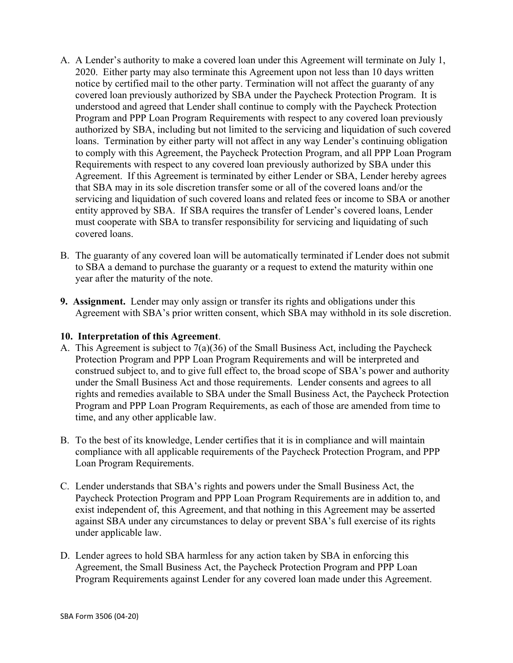- A. A Lender's authority to make a covered loan under this Agreement will terminate on July 1, 2020. Either party may also terminate this Agreement upon not less than 10 days written notice by certified mail to the other party. Termination will not affect the guaranty of any covered loan previously authorized by SBA under the Paycheck Protection Program. It is understood and agreed that Lender shall continue to comply with the Paycheck Protection Program and PPP Loan Program Requirements with respect to any covered loan previously authorized by SBA, including but not limited to the servicing and liquidation of such covered loans. Termination by either party will not affect in any way Lender's continuing obligation to comply with this Agreement, the Paycheck Protection Program, and all PPP Loan Program Requirements with respect to any covered loan previously authorized by SBA under this Agreement. If this Agreement is terminated by either Lender or SBA, Lender hereby agrees that SBA may in its sole discretion transfer some or all of the covered loans and/or the servicing and liquidation of such covered loans and related fees or income to SBA or another entity approved by SBA. If SBA requires the transfer of Lender's covered loans, Lender must cooperate with SBA to transfer responsibility for servicing and liquidating of such covered loans.
- B. The guaranty of any covered loan will be automatically terminated if Lender does not submit to SBA a demand to purchase the guaranty or a request to extend the maturity within one year after the maturity of the note.
- **9. Assignment.** Lender may only assign or transfer its rights and obligations under this Agreement with SBA's prior written consent, which SBA may withhold in its sole discretion.

### **10. Interpretation of this Agreement**.

- A. This Agreement is subject to 7(a)(36) of the Small Business Act, including the Paycheck Protection Program and PPP Loan Program Requirements and will be interpreted and construed subject to, and to give full effect to, the broad scope of SBA's power and authority under the Small Business Act and those requirements. Lender consents and agrees to all rights and remedies available to SBA under the Small Business Act, the Paycheck Protection Program and PPP Loan Program Requirements, as each of those are amended from time to time, and any other applicable law.
- B. To the best of its knowledge, Lender certifies that it is in compliance and will maintain compliance with all applicable requirements of the Paycheck Protection Program, and PPP Loan Program Requirements.
- C. Lender understands that SBA's rights and powers under the Small Business Act, the Paycheck Protection Program and PPP Loan Program Requirements are in addition to, and exist independent of, this Agreement, and that nothing in this Agreement may be asserted against SBA under any circumstances to delay or prevent SBA's full exercise of its rights under applicable law.
- D. Lender agrees to hold SBA harmless for any action taken by SBA in enforcing this Agreement, the Small Business Act, the Paycheck Protection Program and PPP Loan Program Requirements against Lender for any covered loan made under this Agreement.